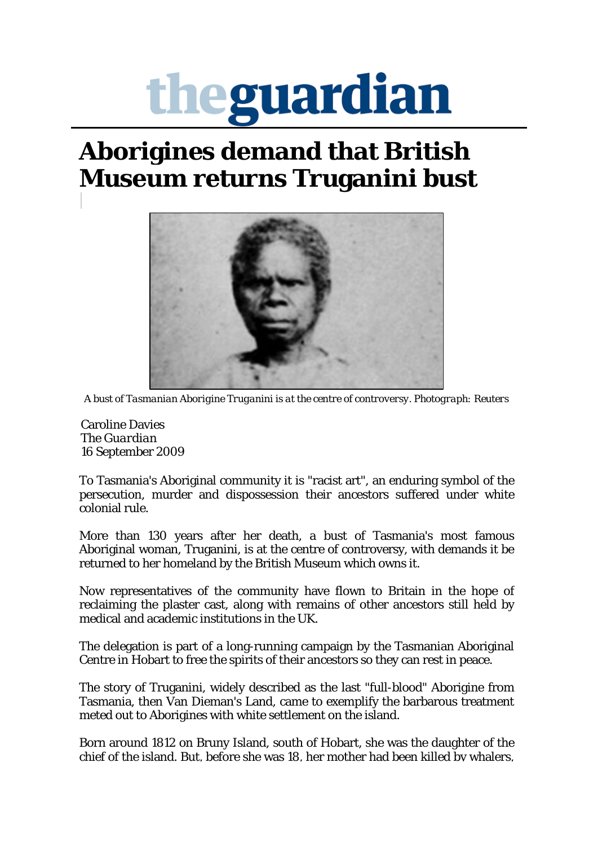## theguardian

## **Aborigines demand that British Museum returns Truganini bust**



*A bust of Tasmanian Aborigine Truganini is at the centre of controversy. Photograph: Reuters*

Caroline Davies The *Guardian* 16 September 2009

To Tasmania's Aboriginal community it is "racist art", an enduring symbol of the persecution, murder and dispossession their ancestors suffered under white colonial rule.

More than 130 years after her death, a bust of Tasmania's most famous Aboriginal woman, Truganini, is at the centre of controversy, with demands it be returned to her homeland by the British Museum which owns it.

Now representatives of the community have flown to Britain in the hope of reclaiming the plaster cast, along with remains of other ancestors still held by medical and academic institutions in the UK.

The delegation is part of a long-running campaign by the Tasmanian Aboriginal Centre in Hobart to free the spirits of their ancestors so they can rest in peace.

The story of Truganini, widely described as the last "full-blood" Aborigine from Tasmania, then Van Dieman's Land, came to exemplify the barbarous treatment meted out to Aborigines with white settlement on the island.

Born around 1812 on Bruny Island, south of Hobart, she was the daughter of the chief of the island. But, before she was 18, her mother had been killed by whalers,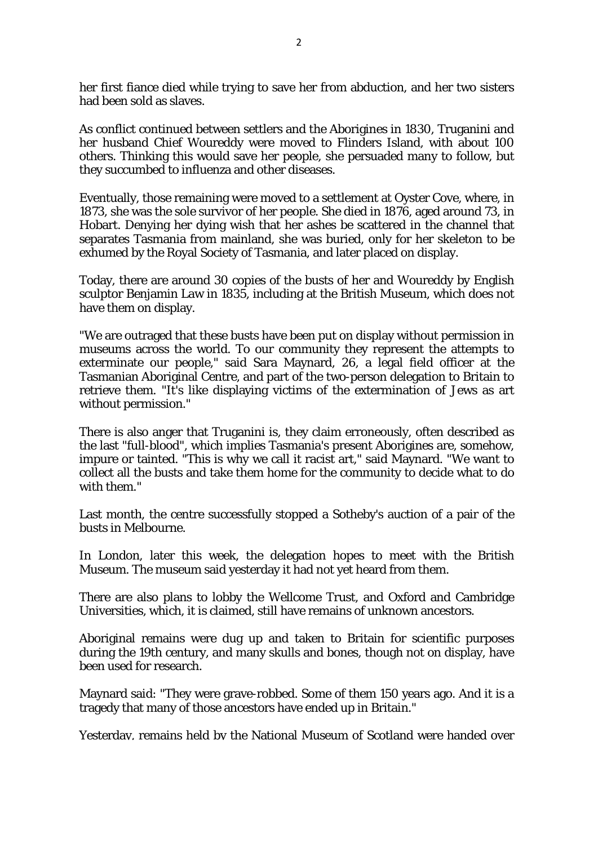her first fiance died while trying to save her from abduction, and her two sisters had been sold as slaves.

As conflict continued between settlers and the Aborigines in 1830, Truganini and her husband Chief Woureddy were moved to Flinders Island, with about 100 others. Thinking this would save her people, she persuaded many to follow, but they succumbed to influenza and other diseases.

Eventually, those remaining were moved to a settlement at Oyster Cove, where, in 1873, she was the sole survivor of her people. She died in 1876, aged around 73, in Hobart. Denying her dying wish that her ashes be scattered in the channel that separates Tasmania from mainland, she was buried, only for her skeleton to be exhumed by the Royal Society of Tasmania, and later placed on display.

Today, there are around 30 copies of the busts of her and Woureddy by English sculptor Benjamin Law in 1835, including at the British Museum, which does not have them on display.

"We are outraged that these busts have been put on display without permission in museums across the world. To our community they represent the attempts to exterminate our people," said Sara Maynard, 26, a legal field officer at the Tasmanian Aboriginal Centre, and part of the two-person delegation to Britain to retrieve them. "It's like displaying victims of the extermination of Jews as art without permission."

There is also anger that Truganini is, they claim erroneously, often described as the last "full-blood", which implies Tasmania's present Aborigines are, somehow, impure or tainted. "This is why we call it racist art," said Maynard. "We want to collect all the busts and take them home for the community to decide what to do with them."

Last month, the centre successfully stopped a Sotheby's auction of a pair of the busts in Melbourne.

In London, later this week, the delegation hopes to meet with the British Museum. The museum said yesterday it had not yet heard from them.

There are also plans to lobby the Wellcome Trust, and Oxford and Cambridge Universities, which, it is claimed, still have remains of unknown ancestors.

Aboriginal remains were dug up and taken to Britain for scientific purposes during the 19th century, and many skulls and bones, though not on display, have been used for research.

Maynard said: "They were grave-robbed. Some of them 150 years ago. And it is a tragedy that many of those ancestors have ended up in Britain."

Yesterday, remains held by the National Museum of Scotland were handed over